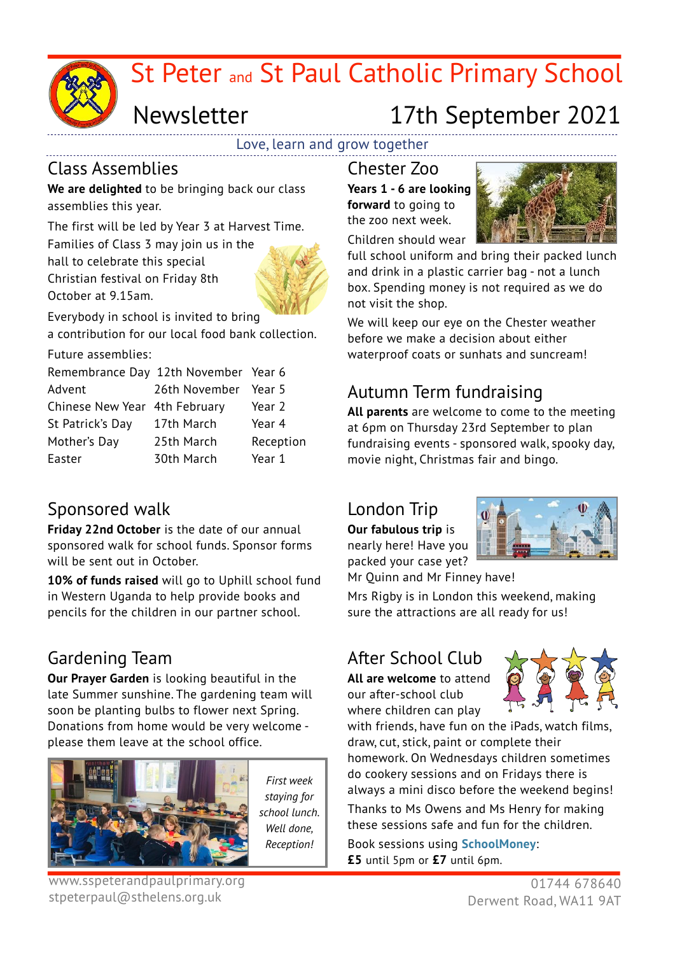

# St Peter and St Paul Catholic Primary School

# Newsletter 17th September 2021

Love, learn and grow together

### Class Assemblies

**We are delighted** to be bringing back our class assemblies this year.

The first will be led by Year 3 at Harvest Time. Families of Class 3 may join us in the hall to celebrate this special Christian festival on Friday 8th October at 9.15am.



Everybody in school is invited to bring

a contribution for our local food bank collection.

Future assemblies:

| Remembrance Day 12th November Year 6 |                      |           |
|--------------------------------------|----------------------|-----------|
| Advent                               | 26th November Year 5 |           |
| Chinese New Year 4th February        |                      | Year 2    |
| St Patrick's Day                     | 17th March           | Year 4    |
| Mother's Day                         | 25th March           | Reception |
| Easter                               | 30th March           | Year 1    |

### Sponsored walk

**Friday 22nd October** is the date of our annual sponsored walk for school funds. Sponsor forms will be sent out in October.

**10% of funds raised** will go to Uphill school fund in Western Uganda to help provide books and pencils for the children in our partner school.

### Gardening Team

**Our Prayer Garden** is looking beautiful in the late Summer sunshine. The gardening team will soon be planting bulbs to flower next Spring. Donations from home would be very welcome please them leave at the school office.



*First week staying for school lunch. Well done, Reception!*

www.sspeterandpaulprimary.org stpeterpaul@sthelens.org.uk

Chester Zoo **Years 1 - 6 are looking forward** to going to the zoo next week.



full school uniform and bring their packed lunch and drink in a plastic carrier bag - not a lunch box. Spending money is not required as we do not visit the shop.

We will keep our eye on the Chester weather before we make a decision about either waterproof coats or sunhats and suncream!

## Autumn Term fundraising

**All parents** are welcome to come to the meeting at 6pm on Thursday 23rd September to plan fundraising events - sponsored walk, spooky day, movie night, Christmas fair and bingo.

### London Trip

**Our fabulous trip** is nearly here! Have you packed your case yet?



Mr Quinn and Mr Finney have!

Mrs Rigby is in London this weekend, making sure the attractions are all ready for us!

### After School Club

**All are welcome** to attend our after-school club where children can play



with friends, have fun on the iPads, watch films, draw, cut, stick, paint or complete their homework. On Wednesdays children sometimes do cookery sessions and on Fridays there is always a mini disco before the weekend begins! Thanks to Ms Owens and Ms Henry for making these sessions safe and fun for the children.

Book sessions using **SchoolMoney**: **£5** until 5pm or **£7** until 6pm.